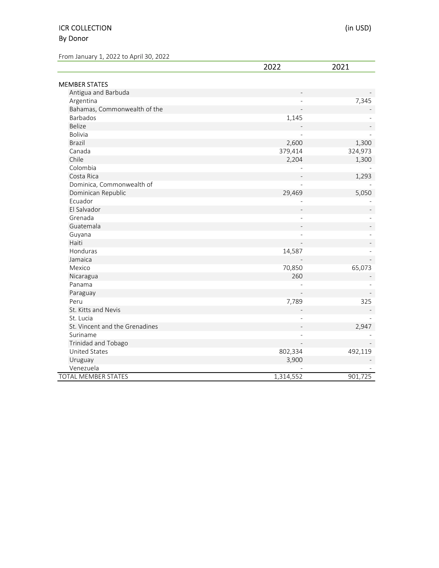## ICR COLLECTION (in USD) By Donor

From January 1, 2022 to April 30, 2022

|                                | 2022           | 2021    |
|--------------------------------|----------------|---------|
| <b>MEMBER STATES</b>           |                |         |
| Antigua and Barbuda            |                |         |
| Argentina                      |                | 7,345   |
| Bahamas, Commonwealth of the   |                |         |
| Barbados                       | 1,145          |         |
| <b>Belize</b>                  |                |         |
| <b>Bolivia</b>                 |                |         |
| <b>Brazil</b>                  | 2,600          | 1,300   |
| Canada                         | 379,414        | 324,973 |
| Chile                          | 2,204          | 1,300   |
| Colombia                       |                |         |
| Costa Rica                     |                | 1,293   |
| Dominica, Commonwealth of      |                |         |
| Dominican Republic             | 29,469         | 5,050   |
| Ecuador                        |                |         |
| El Salvador                    |                |         |
| Grenada                        |                |         |
| Guatemala                      |                |         |
| Guyana                         |                |         |
| Haiti                          |                |         |
| Honduras                       | 14,587         |         |
| Jamaica                        |                |         |
| Mexico                         | 70,850         | 65,073  |
| Nicaragua                      | 260            |         |
| Panama                         |                |         |
| Paraguay                       |                |         |
| Peru                           | 7,789          | 325     |
| St. Kitts and Nevis            |                |         |
| St. Lucia                      |                |         |
| St. Vincent and the Grenadines |                | 2,947   |
| Suriname                       | $\overline{a}$ |         |
| <b>Trinidad and Tobago</b>     |                |         |
| <b>United States</b>           | 802,334        | 492,119 |
| Uruguay                        | 3,900          |         |
| Venezuela                      |                |         |
| TOTAL MEMBER STATES            | 1,314,552      | 901,725 |